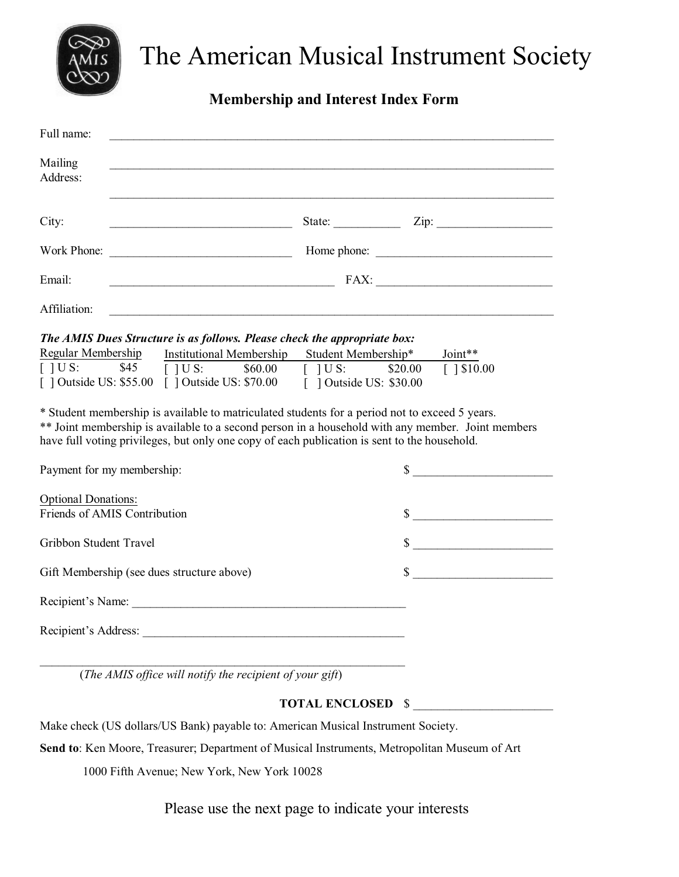

## The American Musical Instrument Society

## **Membership and Interest Index Form**

| Full name:                                                                                                                                                                                               |                                                                                                                  |  |  |  |
|----------------------------------------------------------------------------------------------------------------------------------------------------------------------------------------------------------|------------------------------------------------------------------------------------------------------------------|--|--|--|
| Mailing<br>Address:                                                                                                                                                                                      |                                                                                                                  |  |  |  |
| City:                                                                                                                                                                                                    | $\frac{\text{State:}}{\text{State:}}$ $\frac{\text{Zip:}}{\text{Line:}}$                                         |  |  |  |
|                                                                                                                                                                                                          |                                                                                                                  |  |  |  |
| Email:                                                                                                                                                                                                   |                                                                                                                  |  |  |  |
| Affiliation:                                                                                                                                                                                             |                                                                                                                  |  |  |  |
| The AMIS Dues Structure is as follows. Please check the appropriate box:<br>Regular Membership<br>$\lceil$ $\lceil$ U S:<br>\$45<br>[] Outside US: \$55.00 [] Outside US: \$70.00 [] Outside US: \$30.00 | Institutional Membership Student Membership*<br>Joint**<br>$[$ ] U S: $$60.00$ [ ] U S: $$20.00$<br>$[$ 1\$10.00 |  |  |  |
| * Student membership is available to matriculated students for a period not to exceed 5 years.<br>have full voting privileges, but only one copy of each publication is sent to the household.           | ** Joint membership is available to a second person in a household with any member. Joint members                |  |  |  |
| Payment for my membership:                                                                                                                                                                               | $\sim$                                                                                                           |  |  |  |
| <b>Optional Donations:</b><br>Friends of AMIS Contribution                                                                                                                                               | $\sim$                                                                                                           |  |  |  |
| Gribbon Student Travel                                                                                                                                                                                   | $\sim$                                                                                                           |  |  |  |
| Gift Membership (see dues structure above)                                                                                                                                                               | $\sim$                                                                                                           |  |  |  |
| Recipient's Name:                                                                                                                                                                                        |                                                                                                                  |  |  |  |
|                                                                                                                                                                                                          |                                                                                                                  |  |  |  |
|                                                                                                                                                                                                          |                                                                                                                  |  |  |  |

(*The AMIS office will notify the recipient of your gift*)

## **TOTAL ENCLOSED** \$ \_\_\_\_\_\_\_\_\_\_\_\_\_\_\_\_\_\_\_\_\_\_\_

Make check (US dollars/US Bank) payable to: American Musical Instrument Society.

**Send to**: Ken Moore, Treasurer; Department of Musical Instruments, Metropolitan Museum of Art

1000 Fifth Avenue; New York, New York 10028

Please use the next page to indicate your interests